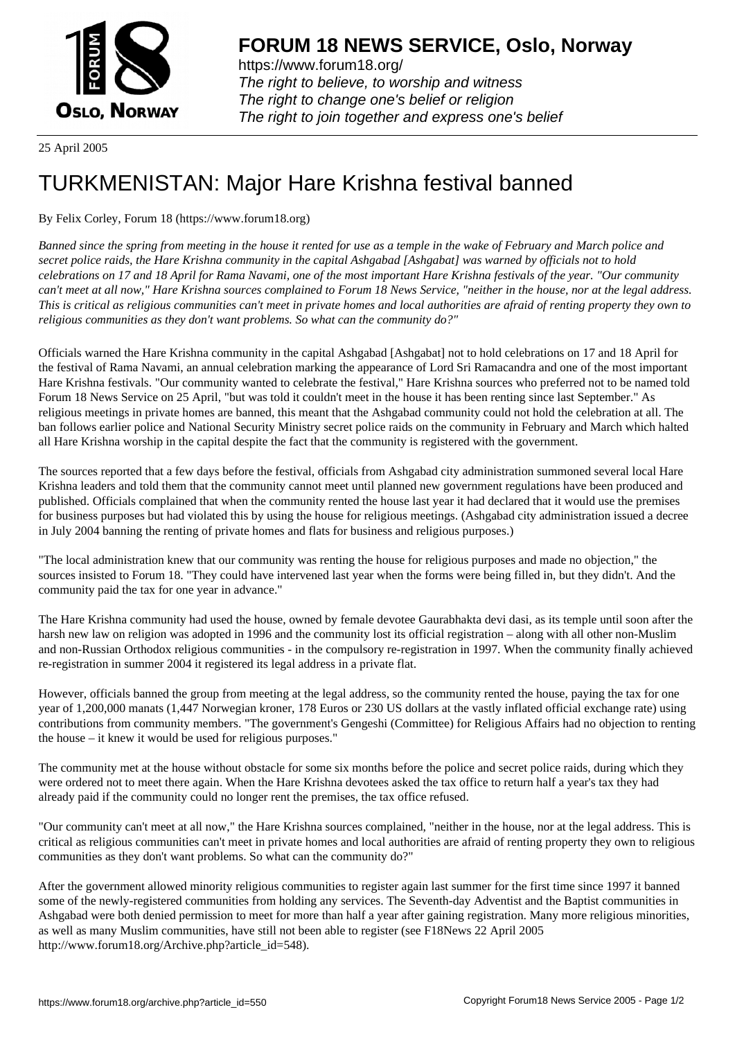

https://www.forum18.org/ The right to believe, to worship and witness The right to change one's belief or religion [The right to join together a](https://www.forum18.org/)nd express one's belief

25 April 2005

## [TURKMENISTA](https://www.forum18.org)N: Major Hare Krishna festival banned

By Felix Corley, Forum 18 (https://www.forum18.org)

*Banned since the spring from meeting in the house it rented for use as a temple in the wake of February and March police and secret police raids, the Hare Krishna community in the capital Ashgabad [Ashgabat] was warned by officials not to hold celebrations on 17 and 18 April for Rama Navami, one of the most important Hare Krishna festivals of the year. "Our community can't meet at all now," Hare Krishna sources complained to Forum 18 News Service, "neither in the house, nor at the legal address. This is critical as religious communities can't meet in private homes and local authorities are afraid of renting property they own to religious communities as they don't want problems. So what can the community do?"*

Officials warned the Hare Krishna community in the capital Ashgabad [Ashgabat] not to hold celebrations on 17 and 18 April for the festival of Rama Navami, an annual celebration marking the appearance of Lord Sri Ramacandra and one of the most important Hare Krishna festivals. "Our community wanted to celebrate the festival," Hare Krishna sources who preferred not to be named told Forum 18 News Service on 25 April, "but was told it couldn't meet in the house it has been renting since last September." As religious meetings in private homes are banned, this meant that the Ashgabad community could not hold the celebration at all. The ban follows earlier police and National Security Ministry secret police raids on the community in February and March which halted all Hare Krishna worship in the capital despite the fact that the community is registered with the government.

The sources reported that a few days before the festival, officials from Ashgabad city administration summoned several local Hare Krishna leaders and told them that the community cannot meet until planned new government regulations have been produced and published. Officials complained that when the community rented the house last year it had declared that it would use the premises for business purposes but had violated this by using the house for religious meetings. (Ashgabad city administration issued a decree in July 2004 banning the renting of private homes and flats for business and religious purposes.)

"The local administration knew that our community was renting the house for religious purposes and made no objection," the sources insisted to Forum 18. "They could have intervened last year when the forms were being filled in, but they didn't. And the community paid the tax for one year in advance."

The Hare Krishna community had used the house, owned by female devotee Gaurabhakta devi dasi, as its temple until soon after the harsh new law on religion was adopted in 1996 and the community lost its official registration – along with all other non-Muslim and non-Russian Orthodox religious communities - in the compulsory re-registration in 1997. When the community finally achieved re-registration in summer 2004 it registered its legal address in a private flat.

However, officials banned the group from meeting at the legal address, so the community rented the house, paying the tax for one year of 1,200,000 manats (1,447 Norwegian kroner, 178 Euros or 230 US dollars at the vastly inflated official exchange rate) using contributions from community members. "The government's Gengeshi (Committee) for Religious Affairs had no objection to renting the house – it knew it would be used for religious purposes."

The community met at the house without obstacle for some six months before the police and secret police raids, during which they were ordered not to meet there again. When the Hare Krishna devotees asked the tax office to return half a year's tax they had already paid if the community could no longer rent the premises, the tax office refused.

"Our community can't meet at all now," the Hare Krishna sources complained, "neither in the house, nor at the legal address. This is critical as religious communities can't meet in private homes and local authorities are afraid of renting property they own to religious communities as they don't want problems. So what can the community do?"

After the government allowed minority religious communities to register again last summer for the first time since 1997 it banned some of the newly-registered communities from holding any services. The Seventh-day Adventist and the Baptist communities in Ashgabad were both denied permission to meet for more than half a year after gaining registration. Many more religious minorities, as well as many Muslim communities, have still not been able to register (see F18News 22 April 2005 http://www.forum18.org/Archive.php?article\_id=548).